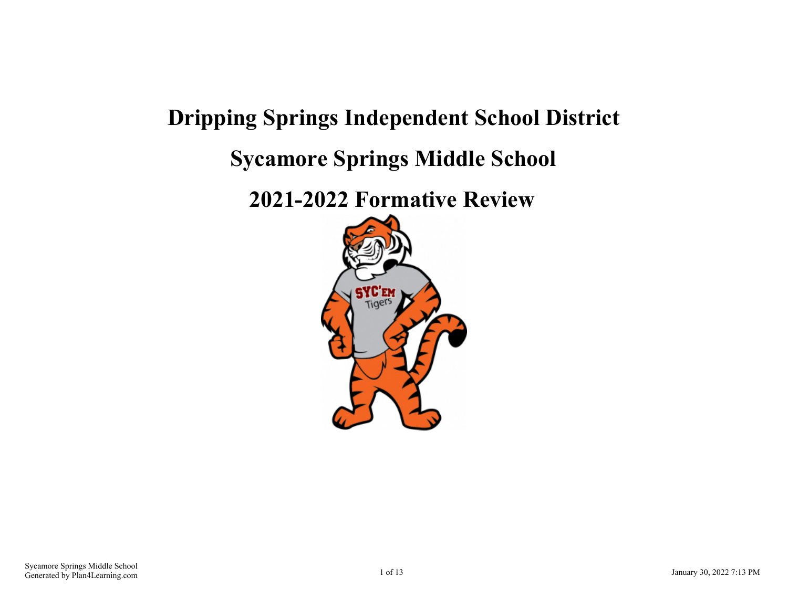# **Dripping Springs Independent School District Sycamore Springs Middle School**

**2021-2022 Formative Review**

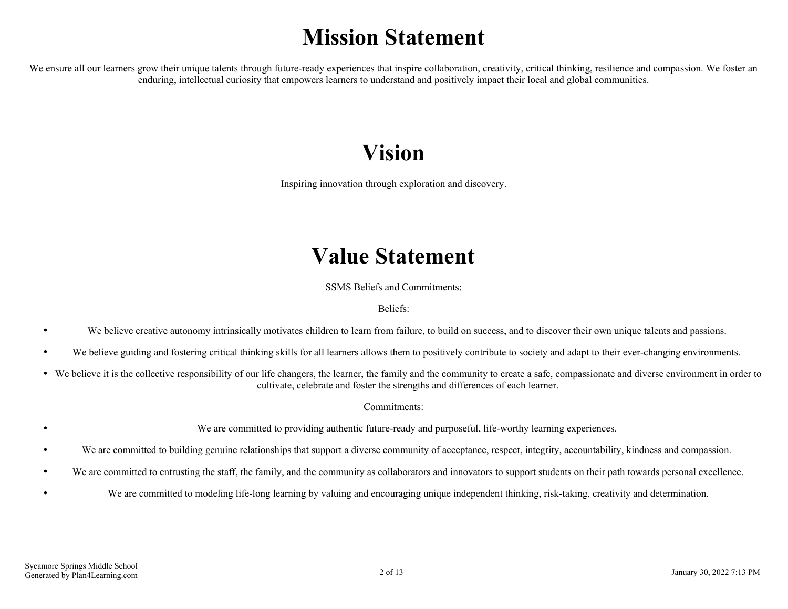# **Mission Statement**

We ensure all our learners grow their unique talents through future-ready experiences that inspire collaboration, creativity, critical thinking, resilience and compassion. We foster an enduring, intellectual curiosity that empowers learners to understand and positively impact their local and global communities.

# **Vision**

Inspiring innovation through exploration and discovery.

## **Value Statement**

SSMS Beliefs and Commitments:

Beliefs:

- We believe creative autonomy intrinsically motivates children to learn from failure, to build on success, and to discover their own unique talents and passions.
- We believe guiding and fostering critical thinking skills for all learners allows them to positively contribute to society and adapt to their ever-changing environments.
- We believe it is the collective responsibility of our life changers, the learner, the family and the community to create a safe, compassionate and diverse environment in order to cultivate, celebrate and foster the strengths and differences of each learner.

Commitments:

We are committed to providing authentic future-ready and purposeful, life-worthy learning experiences.

- We are committed to building genuine relationships that support a diverse community of acceptance, respect, integrity, accountability, kindness and compassion.  $\bullet$
- We are committed to entrusting the staff, the family, and the community as collaborators and innovators to support students on their path towards personal excellence.
	- We are committed to modeling life-long learning by valuing and encouraging unique independent thinking, risk-taking, creativity and determination.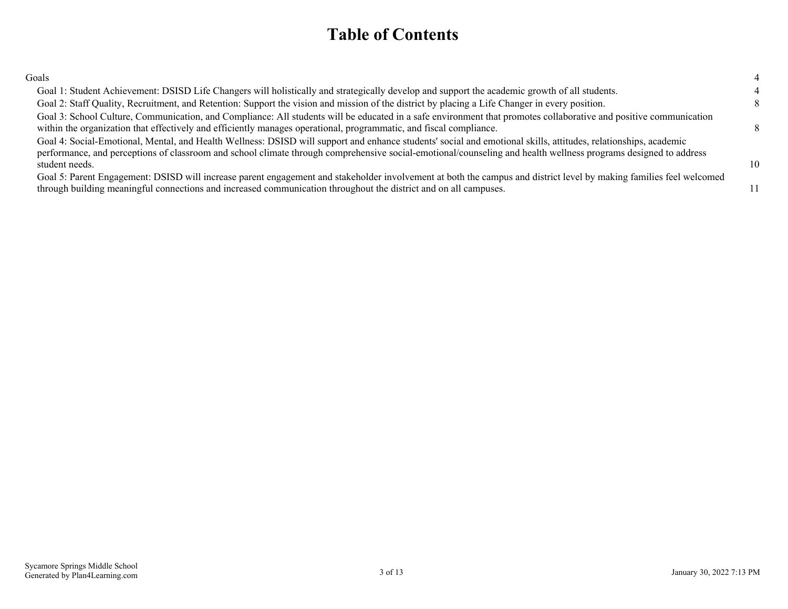## **Table of Contents**

| Goals                                                                                                                                                                                                                                                                                                                                                |    |
|------------------------------------------------------------------------------------------------------------------------------------------------------------------------------------------------------------------------------------------------------------------------------------------------------------------------------------------------------|----|
| Goal 1: Student Achievement: DSISD Life Changers will holistically and strategically develop and support the academic growth of all students.                                                                                                                                                                                                        |    |
| Goal 2: Staff Quality, Recruitment, and Retention: Support the vision and mission of the district by placing a Life Changer in every position.                                                                                                                                                                                                       |    |
| Goal 3: School Culture, Communication, and Compliance: All students will be educated in a safe environment that promotes collaborative and positive communication<br>within the organization that effectively and efficiently manages operational, programmatic, and fiscal compliance.                                                              |    |
| Goal 4: Social-Emotional, Mental, and Health Wellness: DSISD will support and enhance students' social and emotional skills, attitudes, relationships, academic<br>performance, and perceptions of classroom and school climate through comprehensive social-emotional/counseling and health wellness programs designed to address<br>student needs. | 10 |
| Goal 5: Parent Engagement: DSISD will increase parent engagement and stakeholder involvement at both the campus and district level by making families feel welcomed<br>through building meaningful connections and increased communication throughout the district and on all campuses.                                                              |    |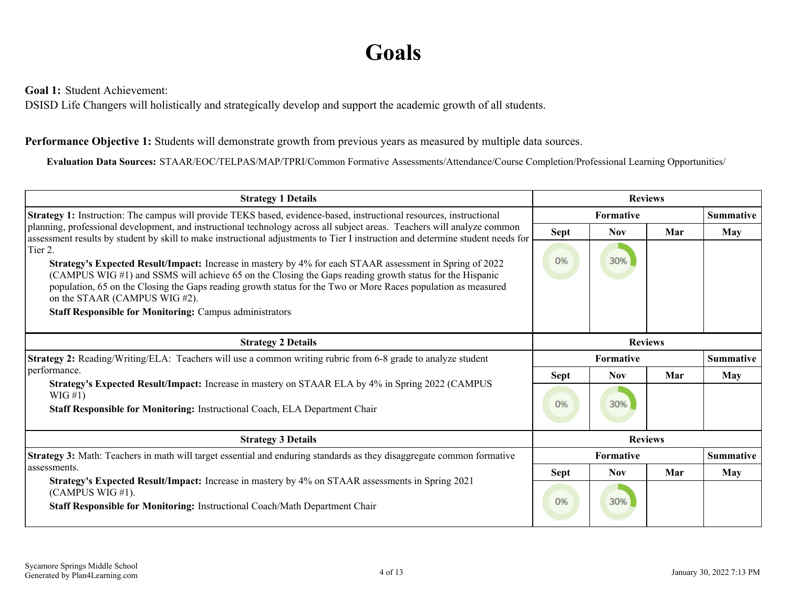# **Goals**

<span id="page-3-0"></span>**Goal 1:** Student Achievement:

DSISD Life Changers will holistically and strategically develop and support the academic growth of all students.

#### **Performance Objective 1:** Students will demonstrate growth from previous years as measured by multiple data sources.

**Evaluation Data Sources:** STAAR/EOC/TELPAS/MAP/TPRI/Common Formative Assessments/Attendance/Course Completion/Professional Learning Opportunities/

| <b>Strategy 1 Details</b>                                                                                                                                                                                                                                                                                                                                                                                                                          |             |                  | <b>Reviews</b> |                  |
|----------------------------------------------------------------------------------------------------------------------------------------------------------------------------------------------------------------------------------------------------------------------------------------------------------------------------------------------------------------------------------------------------------------------------------------------------|-------------|------------------|----------------|------------------|
| Strategy 1: Instruction: The campus will provide TEKS based, evidence-based, instructional resources, instructional                                                                                                                                                                                                                                                                                                                                |             | <b>Formative</b> |                | <b>Summative</b> |
| planning, professional development, and instructional technology across all subject areas. Teachers will analyze common<br>assessment results by student by skill to make instructional adjustments to Tier I instruction and determine student needs for                                                                                                                                                                                          | <b>Sept</b> | <b>Nov</b>       | Mar            | May              |
| Tier 2.<br>Strategy's Expected Result/Impact: Increase in mastery by 4% for each STAAR assessment in Spring of 2022<br>(CAMPUS WIG #1) and SSMS will achieve 65 on the Closing the Gaps reading growth status for the Hispanic<br>population, 65 on the Closing the Gaps reading growth status for the Two or More Races population as measured<br>on the STAAR (CAMPUS WIG #2).<br><b>Staff Responsible for Monitoring: Campus administrators</b> | 0%          | 30%              |                |                  |
| <b>Strategy 2 Details</b>                                                                                                                                                                                                                                                                                                                                                                                                                          |             |                  | <b>Reviews</b> |                  |
| Strategy 2: Reading/Writing/ELA: Teachers will use a common writing rubric from 6-8 grade to analyze student                                                                                                                                                                                                                                                                                                                                       |             | <b>Formative</b> |                | Summative        |
| performance.                                                                                                                                                                                                                                                                                                                                                                                                                                       | <b>Sept</b> | <b>Nov</b>       | Mar            | May              |
| Strategy's Expected Result/Impact: Increase in mastery on STAAR ELA by 4% in Spring 2022 (CAMPUS<br>$WIG \#1)$<br>Staff Responsible for Monitoring: Instructional Coach, ELA Department Chair                                                                                                                                                                                                                                                      | 0%          | 30%              |                |                  |
| <b>Strategy 3 Details</b>                                                                                                                                                                                                                                                                                                                                                                                                                          |             |                  | <b>Reviews</b> |                  |
| Strategy 3: Math: Teachers in math will target essential and enduring standards as they disaggregate common formative                                                                                                                                                                                                                                                                                                                              |             | Formative        |                | Summative        |
| assessments.                                                                                                                                                                                                                                                                                                                                                                                                                                       | <b>Sept</b> | <b>Nov</b>       | Mar            | May              |
| <b>Strategy's Expected Result/Impact:</b> Increase in mastery by 4% on STAAR assessments in Spring 2021<br>(CAMPUS WIG $#1$ ).<br>Staff Responsible for Monitoring: Instructional Coach/Math Department Chair                                                                                                                                                                                                                                      | 0%          | 30%              |                |                  |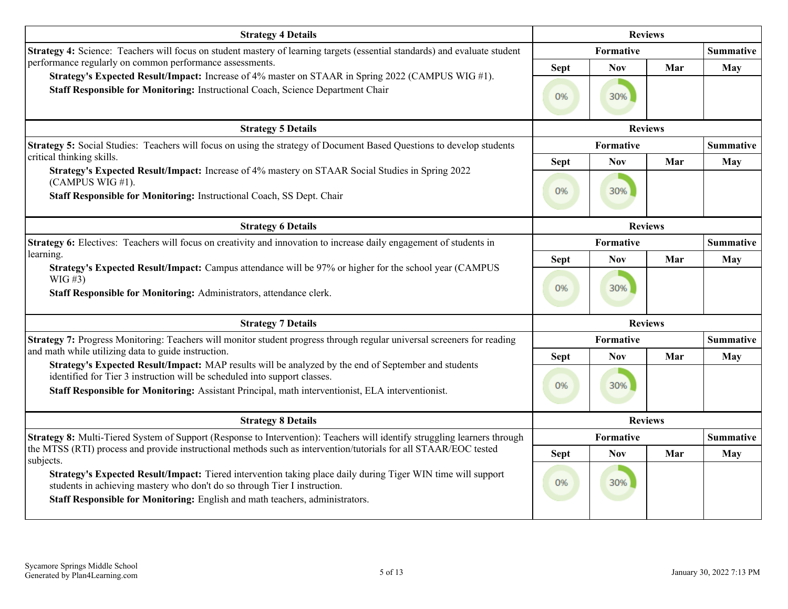| <b>Strategy 4 Details</b>                                                                                                                                                                                                                                                                                                                     |                   |                   | <b>Reviews</b> |                  |
|-----------------------------------------------------------------------------------------------------------------------------------------------------------------------------------------------------------------------------------------------------------------------------------------------------------------------------------------------|-------------------|-------------------|----------------|------------------|
| Strategy 4: Science: Teachers will focus on student mastery of learning targets (essential standards) and evaluate student                                                                                                                                                                                                                    |                   | Formative         |                | <b>Summative</b> |
| performance regularly on common performance assessments.<br>Strategy's Expected Result/Impact: Increase of 4% master on STAAR in Spring 2022 (CAMPUS WIG #1).<br>Staff Responsible for Monitoring: Instructional Coach, Science Department Chair                                                                                              | <b>Sept</b><br>0% | <b>Nov</b><br>30% | Mar            | <b>May</b>       |
| <b>Strategy 5 Details</b>                                                                                                                                                                                                                                                                                                                     |                   |                   | <b>Reviews</b> |                  |
| Strategy 5: Social Studies: Teachers will focus on using the strategy of Document Based Questions to develop students<br>critical thinking skills.                                                                                                                                                                                            |                   | Formative         |                | <b>Summative</b> |
| Strategy's Expected Result/Impact: Increase of 4% mastery on STAAR Social Studies in Spring 2022<br>(CAMPUS WIG #1).<br>Staff Responsible for Monitoring: Instructional Coach, SS Dept. Chair                                                                                                                                                 | <b>Sept</b><br>0% | <b>Nov</b><br>30% | Mar            | <b>May</b>       |
| <b>Strategy 6 Details</b>                                                                                                                                                                                                                                                                                                                     |                   |                   | <b>Reviews</b> |                  |
| Strategy 6: Electives: Teachers will focus on creativity and innovation to increase daily engagement of students in                                                                                                                                                                                                                           |                   | Formative         |                | <b>Summative</b> |
| learning.<br>Strategy's Expected Result/Impact: Campus attendance will be 97% or higher for the school year (CAMPUS                                                                                                                                                                                                                           | <b>Sept</b>       | Nov               | Mar            | <b>May</b>       |
| $WIG \#3)$<br>Staff Responsible for Monitoring: Administrators, attendance clerk.                                                                                                                                                                                                                                                             | 0%                | 30%               |                |                  |
| <b>Strategy 7 Details</b>                                                                                                                                                                                                                                                                                                                     |                   |                   | <b>Reviews</b> |                  |
| Strategy 7: Progress Monitoring: Teachers will monitor student progress through regular universal screeners for reading                                                                                                                                                                                                                       |                   | Formative         |                | <b>Summative</b> |
| and math while utilizing data to guide instruction.<br>Strategy's Expected Result/Impact: MAP results will be analyzed by the end of September and students<br>identified for Tier 3 instruction will be scheduled into support classes.<br>Staff Responsible for Monitoring: Assistant Principal, math interventionist, ELA interventionist. | <b>Sept</b><br>0% | <b>Nov</b><br>30% | Mar            | <b>May</b>       |
| <b>Strategy 8 Details</b>                                                                                                                                                                                                                                                                                                                     |                   |                   | <b>Reviews</b> |                  |
| Strategy 8: Multi-Tiered System of Support (Response to Intervention): Teachers will identify struggling learners through                                                                                                                                                                                                                     |                   | Formative         |                | <b>Summative</b> |
| the MTSS (RTI) process and provide instructional methods such as intervention/tutorials for all STAAR/EOC tested<br>subjects.                                                                                                                                                                                                                 | <b>Sept</b>       | <b>Nov</b>        | Mar            | May              |
| Strategy's Expected Result/Impact: Tiered intervention taking place daily during Tiger WIN time will support<br>students in achieving mastery who don't do so through Tier I instruction.<br>Staff Responsible for Monitoring: English and math teachers, administrators.                                                                     | 0%                | 30%               |                |                  |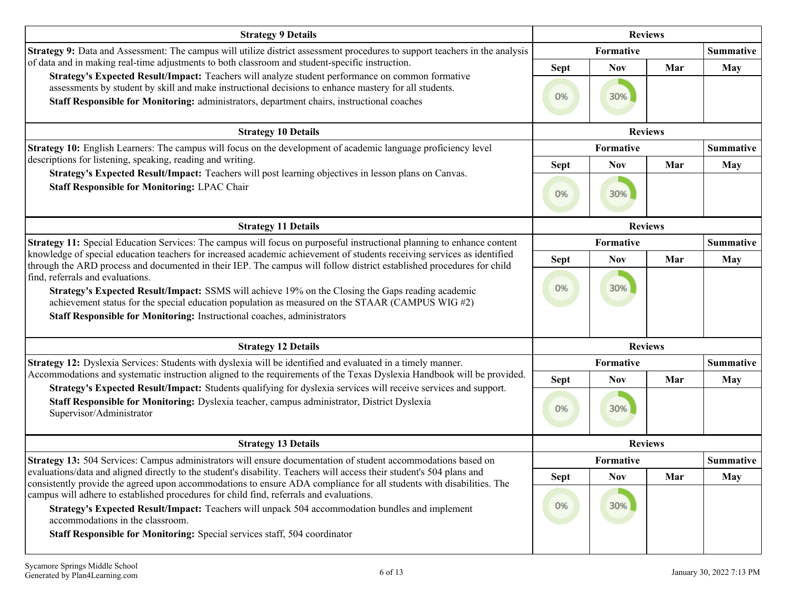| <b>Strategy 9 Details</b>                                                                                                                                                                                                                                                                                                                                                                                                                                                                                                                                                   |                   | <b>Reviews</b>    |     |                  |
|-----------------------------------------------------------------------------------------------------------------------------------------------------------------------------------------------------------------------------------------------------------------------------------------------------------------------------------------------------------------------------------------------------------------------------------------------------------------------------------------------------------------------------------------------------------------------------|-------------------|-------------------|-----|------------------|
| Strategy 9: Data and Assessment: The campus will utilize district assessment procedures to support teachers in the analysis                                                                                                                                                                                                                                                                                                                                                                                                                                                 |                   | Formative         |     | <b>Summative</b> |
| of data and in making real-time adjustments to both classroom and student-specific instruction.<br>Strategy's Expected Result/Impact: Teachers will analyze student performance on common formative<br>assessments by student by skill and make instructional decisions to enhance mastery for all students.<br>Staff Responsible for Monitoring: administrators, department chairs, instructional coaches                                                                                                                                                                  | <b>Sept</b><br>0% | <b>Nov</b><br>30% | Mar | May              |
| <b>Strategy 10 Details</b>                                                                                                                                                                                                                                                                                                                                                                                                                                                                                                                                                  |                   | <b>Reviews</b>    |     |                  |
| Strategy 10: English Learners: The campus will focus on the development of academic language proficiency level                                                                                                                                                                                                                                                                                                                                                                                                                                                              |                   | Formative         |     | <b>Summative</b> |
| descriptions for listening, speaking, reading and writing.                                                                                                                                                                                                                                                                                                                                                                                                                                                                                                                  | <b>Sept</b>       | <b>Nov</b>        | Mar | <b>May</b>       |
| Strategy's Expected Result/Impact: Teachers will post learning objectives in lesson plans on Canvas.<br><b>Staff Responsible for Monitoring: LPAC Chair</b>                                                                                                                                                                                                                                                                                                                                                                                                                 | 0%                | 30%               |     |                  |
| <b>Strategy 11 Details</b>                                                                                                                                                                                                                                                                                                                                                                                                                                                                                                                                                  |                   | <b>Reviews</b>    |     |                  |
| Strategy 11: Special Education Services: The campus will focus on purposeful instructional planning to enhance content                                                                                                                                                                                                                                                                                                                                                                                                                                                      |                   | Formative         |     | <b>Summative</b> |
| knowledge of special education teachers for increased academic achievement of students receiving services as identified<br>through the ARD process and documented in their IEP. The campus will follow district established procedures for child<br>find, referrals and evaluations.<br>Strategy's Expected Result/Impact: SSMS will achieve 19% on the Closing the Gaps reading academic<br>achievement status for the special education population as measured on the STAAR (CAMPUS WIG $#2$ )<br>Staff Responsible for Monitoring: Instructional coaches, administrators | <b>Sept</b><br>0% | <b>Nov</b><br>30% | Mar | <b>May</b>       |
| <b>Strategy 12 Details</b>                                                                                                                                                                                                                                                                                                                                                                                                                                                                                                                                                  |                   | <b>Reviews</b>    |     |                  |
| Strategy 12: Dyslexia Services: Students with dyslexia will be identified and evaluated in a timely manner.                                                                                                                                                                                                                                                                                                                                                                                                                                                                 |                   | Formative         |     | <b>Summative</b> |
| Accommodations and systematic instruction aligned to the requirements of the Texas Dyslexia Handbook will be provided.                                                                                                                                                                                                                                                                                                                                                                                                                                                      | <b>Sept</b>       | <b>Nov</b>        | Mar | May              |
| Strategy's Expected Result/Impact: Students qualifying for dyslexia services will receive services and support.<br>Staff Responsible for Monitoring: Dyslexia teacher, campus administrator, District Dyslexia<br>Supervisor/Administrator                                                                                                                                                                                                                                                                                                                                  | 0%                | 30%               |     |                  |
| <b>Strategy 13 Details</b>                                                                                                                                                                                                                                                                                                                                                                                                                                                                                                                                                  |                   | <b>Reviews</b>    |     |                  |
| Strategy 13: 504 Services: Campus administrators will ensure documentation of student accommodations based on                                                                                                                                                                                                                                                                                                                                                                                                                                                               |                   | Formative         |     | <b>Summative</b> |
| evaluations/data and aligned directly to the student's disability. Teachers will access their student's 504 plans and<br>consistently provide the agreed upon accommodations to ensure ADA compliance for all students with disabilities. The                                                                                                                                                                                                                                                                                                                               | <b>Sept</b>       | <b>Nov</b>        | Mar | <b>May</b>       |
| campus will adhere to established procedures for child find, referrals and evaluations.<br>Strategy's Expected Result/Impact: Teachers will unpack 504 accommodation bundles and implement<br>accommodations in the classroom.<br>Staff Responsible for Monitoring: Special services staff, 504 coordinator                                                                                                                                                                                                                                                                 | 0%                | 30%               |     |                  |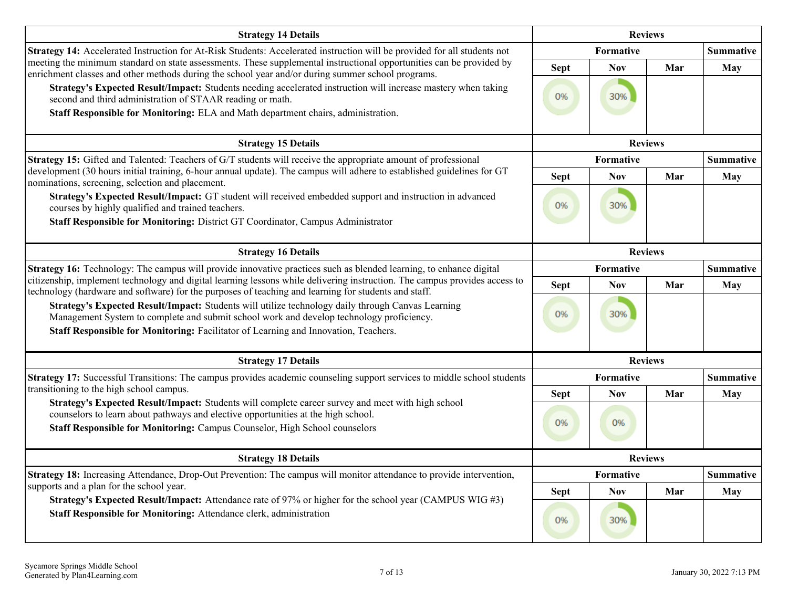| <b>Strategy 14 Details</b>                                                                                                                                                                                                                                      |             |                  | <b>Reviews</b> |                  |
|-----------------------------------------------------------------------------------------------------------------------------------------------------------------------------------------------------------------------------------------------------------------|-------------|------------------|----------------|------------------|
| Strategy 14: Accelerated Instruction for At-Risk Students: Accelerated instruction will be provided for all students not                                                                                                                                        |             | Formative        |                | <b>Summative</b> |
| meeting the minimum standard on state assessments. These supplemental instructional opportunities can be provided by<br>enrichment classes and other methods during the school year and/or during summer school programs.                                       | <b>Sept</b> | <b>Nov</b>       | Mar            | <b>May</b>       |
| Strategy's Expected Result/Impact: Students needing accelerated instruction will increase mastery when taking<br>second and third administration of STAAR reading or math.<br>Staff Responsible for Monitoring: ELA and Math department chairs, administration. | 0%          | 30%              |                |                  |
| <b>Strategy 15 Details</b>                                                                                                                                                                                                                                      |             |                  | <b>Reviews</b> |                  |
| Strategy 15: Gifted and Talented: Teachers of G/T students will receive the appropriate amount of professional                                                                                                                                                  |             | Formative        |                | <b>Summative</b> |
| development (30 hours initial training, 6-hour annual update). The campus will adhere to established guidelines for GT<br>nominations, screening, selection and placement.                                                                                      | <b>Sept</b> | <b>Nov</b>       | Mar            | <b>May</b>       |
| Strategy's Expected Result/Impact: GT student will received embedded support and instruction in advanced<br>courses by highly qualified and trained teachers.<br>Staff Responsible for Monitoring: District GT Coordinator, Campus Administrator                | 0%          | 30%              |                |                  |
| <b>Strategy 16 Details</b>                                                                                                                                                                                                                                      |             | <b>Reviews</b>   |                |                  |
| Strategy 16: Technology: The campus will provide innovative practices such as blended learning, to enhance digital                                                                                                                                              |             | Formative        |                | <b>Summative</b> |
| citizenship, implement technology and digital learning lessons while delivering instruction. The campus provides access to<br>technology (hardware and software) for the purposes of teaching and learning for students and staff.                              | <b>Sept</b> | <b>Nov</b>       | Mar            | <b>May</b>       |
| Strategy's Expected Result/Impact: Students will utilize technology daily through Canvas Learning<br>Management System to complete and submit school work and develop technology proficiency.                                                                   | 0%          | 30%              |                |                  |
| Staff Responsible for Monitoring: Facilitator of Learning and Innovation, Teachers.                                                                                                                                                                             |             |                  |                |                  |
| <b>Strategy 17 Details</b>                                                                                                                                                                                                                                      |             | <b>Reviews</b>   |                |                  |
| Strategy 17: Successful Transitions: The campus provides academic counseling support services to middle school students                                                                                                                                         |             | <b>Formative</b> |                | <b>Summative</b> |
| transitioning to the high school campus.<br>Strategy's Expected Result/Impact: Students will complete career survey and meet with high school                                                                                                                   | <b>Sept</b> | <b>Nov</b>       | Mar            | May              |
| counselors to learn about pathways and elective opportunities at the high school.<br>Staff Responsible for Monitoring: Campus Counselor, High School counselors                                                                                                 | 0%          | 0%               |                |                  |
| <b>Strategy 18 Details</b>                                                                                                                                                                                                                                      |             | <b>Reviews</b>   |                |                  |
| Strategy 18: Increasing Attendance, Drop-Out Prevention: The campus will monitor attendance to provide intervention,                                                                                                                                            |             | Formative        |                | <b>Summative</b> |
| supports and a plan for the school year.<br>Strategy's Expected Result/Impact: Attendance rate of 97% or higher for the school year (CAMPUS WIG #3)                                                                                                             | <b>Sept</b> | <b>Nov</b>       | Mar            | <b>May</b>       |
| Staff Responsible for Monitoring: Attendance clerk, administration                                                                                                                                                                                              | 0%          | 30%              |                |                  |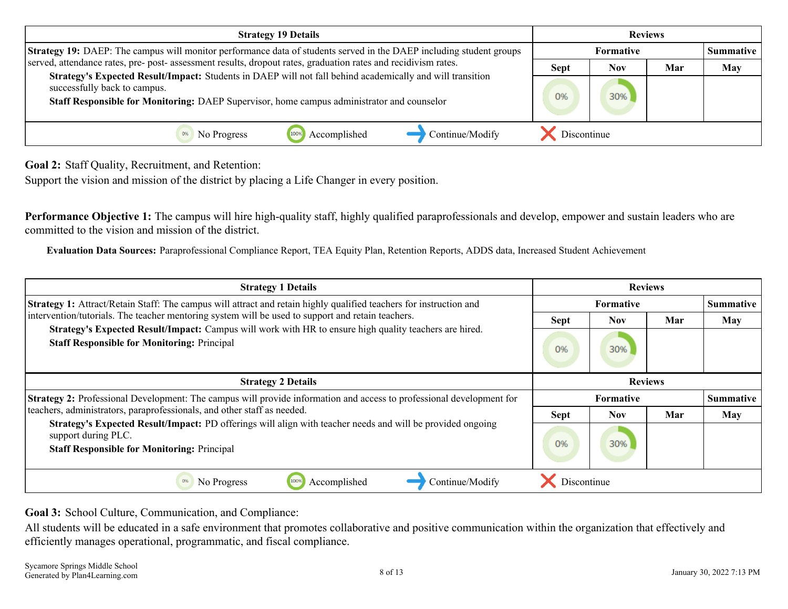<span id="page-7-0"></span>

| <b>Strategy 19 Details</b>                                                                                                                                                                                                              |             |                  | <b>Reviews</b> |                  |
|-----------------------------------------------------------------------------------------------------------------------------------------------------------------------------------------------------------------------------------------|-------------|------------------|----------------|------------------|
| Strategy 19: DAEP: The campus will monitor performance data of students served in the DAEP including student groups                                                                                                                     |             | <b>Formative</b> |                | <b>Summative</b> |
| served, attendance rates, pre- post- assessment results, dropout rates, graduation rates and recidivism rates.                                                                                                                          | <b>Sept</b> | Nov              | Mar            | <b>May</b>       |
| Strategy's Expected Result/Impact: Students in DAEP will not fall behind academically and will transition<br>successfully back to campus.<br>Staff Responsible for Monitoring: DAEP Supervisor, home campus administrator and counselor | 0%          | 30%              |                |                  |
| Continue/Modify<br>Accomplished<br>No Progress                                                                                                                                                                                          | Discontinue |                  |                |                  |

**Goal 2:** Staff Quality, Recruitment, and Retention:

Support the vision and mission of the district by placing a Life Changer in every position.

**Performance Objective 1:** The campus will hire high-quality staff, highly qualified paraprofessionals and develop, empower and sustain leaders who are committed to the vision and mission of the district.

**Evaluation Data Sources:** Paraprofessional Compliance Report, TEA Equity Plan, Retention Reports, ADDS data, Increased Student Achievement

| <b>Strategy 1 Details</b>                                                                                                                                                               |                                                                   | <b>Reviews</b> |     |                  |
|-----------------------------------------------------------------------------------------------------------------------------------------------------------------------------------------|-------------------------------------------------------------------|----------------|-----|------------------|
| <b>Strategy 1:</b> Attract/Retain Staff: The campus will attract and retain highly qualified teachers for instruction and                                                               | <b>Formative</b><br><b>Sept</b><br><b>Nov</b><br>Mar<br>30%<br>0% |                |     | <b>Summative</b> |
| intervention/tutorials. The teacher mentoring system will be used to support and retain teachers.                                                                                       |                                                                   |                |     | May              |
| Strategy's Expected Result/Impact: Campus will work with HR to ensure high quality teachers are hired.<br><b>Staff Responsible for Monitoring: Principal</b>                            |                                                                   |                |     |                  |
| <b>Strategy 2 Details</b>                                                                                                                                                               |                                                                   | <b>Reviews</b> |     |                  |
| Strategy 2: Professional Development: The campus will provide information and access to professional development for                                                                    |                                                                   | Formative      |     | <b>Summative</b> |
| teachers, administrators, paraprofessionals, and other staff as needed.                                                                                                                 | <b>Sept</b>                                                       | <b>Nov</b>     | Mar | May              |
| Strategy's Expected Result/Impact: PD offerings will align with teacher needs and will be provided ongoing<br>support during PLC.<br><b>Staff Responsible for Monitoring: Principal</b> | 0%                                                                | 30%            |     |                  |
| Accomplished<br>Continue/Modify<br>No Progress<br>0%<br>100%                                                                                                                            | Discontinue                                                       |                |     |                  |

**Goal 3:** School Culture, Communication, and Compliance:

All students will be educated in a safe environment that promotes collaborative and positive communication within the organization that effectively and efficiently manages operational, programmatic, and fiscal compliance.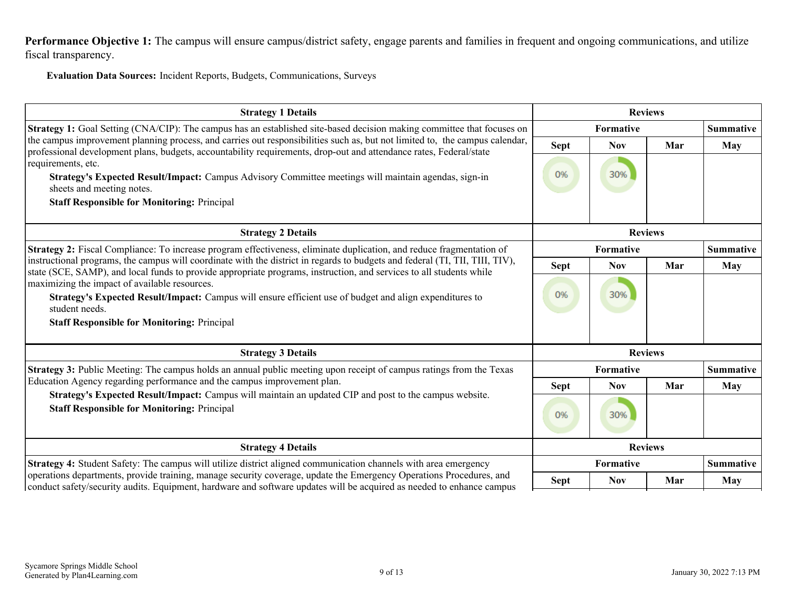Performance Objective 1: The campus will ensure campus/district safety, engage parents and families in frequent and ongoing communications, and utilize fiscal transparency.

**Evaluation Data Sources:** Incident Reports, Budgets, Communications, Surveys

| <b>Strategy 1 Details</b>                                                                                                                                                                                                                           |             |            | <b>Reviews</b> |                  |
|-----------------------------------------------------------------------------------------------------------------------------------------------------------------------------------------------------------------------------------------------------|-------------|------------|----------------|------------------|
| <b>Strategy 1:</b> Goal Setting (CNA/CIP): The campus has an established site-based decision making committee that focuses on                                                                                                                       |             | Formative  |                | <b>Summative</b> |
| the campus improvement planning process, and carries out responsibilities such as, but not limited to, the campus calendar,<br>professional development plans, budgets, accountability requirements, drop-out and attendance rates, Federal/state   | Sept        | <b>Nov</b> | Mar            | May              |
| requirements, etc.                                                                                                                                                                                                                                  |             |            |                |                  |
| Strategy's Expected Result/Impact: Campus Advisory Committee meetings will maintain agendas, sign-in<br>sheets and meeting notes.                                                                                                                   | 0%          | 30%        |                |                  |
| <b>Staff Responsible for Monitoring: Principal</b>                                                                                                                                                                                                  |             |            |                |                  |
| <b>Strategy 2 Details</b>                                                                                                                                                                                                                           |             |            | <b>Reviews</b> |                  |
| Strategy 2: Fiscal Compliance: To increase program effectiveness, eliminate duplication, and reduce fragmentation of                                                                                                                                |             | Formative  |                | <b>Summative</b> |
| instructional programs, the campus will coordinate with the district in regards to budgets and federal (TI, TII, TIII, TIV),<br>state (SCE, SAMP), and local funds to provide appropriate programs, instruction, and services to all students while | <b>Sept</b> | <b>Nov</b> | Mar            | May              |
| maximizing the impact of available resources.                                                                                                                                                                                                       |             |            |                |                  |
| Strategy's Expected Result/Impact: Campus will ensure efficient use of budget and align expenditures to<br>student needs.                                                                                                                           | 0%          | 30%        |                |                  |
| <b>Staff Responsible for Monitoring: Principal</b>                                                                                                                                                                                                  |             |            |                |                  |
| <b>Strategy 3 Details</b>                                                                                                                                                                                                                           |             |            | <b>Reviews</b> |                  |
| <b>Strategy 3:</b> Public Meeting: The campus holds an annual public meeting upon receipt of campus ratings from the Texas                                                                                                                          |             | Formative  |                | <b>Summative</b> |
| Education Agency regarding performance and the campus improvement plan.                                                                                                                                                                             | <b>Sept</b> | <b>Nov</b> | Mar            | May              |
| Strategy's Expected Result/Impact: Campus will maintain an updated CIP and post to the campus website.<br><b>Staff Responsible for Monitoring: Principal</b>                                                                                        | 0%          | 30%        |                |                  |
| <b>Strategy 4 Details</b>                                                                                                                                                                                                                           |             |            | <b>Reviews</b> |                  |
| Strategy 4: Student Safety: The campus will utilize district aligned communication channels with area emergency                                                                                                                                     |             | Formative  |                | <b>Summative</b> |
| operations departments, provide training, manage security coverage, update the Emergency Operations Procedures, and<br>conduct safety/security audits. Equipment, hardware and software updates will be acquired as needed to enhance campus        | <b>Sept</b> | <b>Nov</b> | Mar            | May              |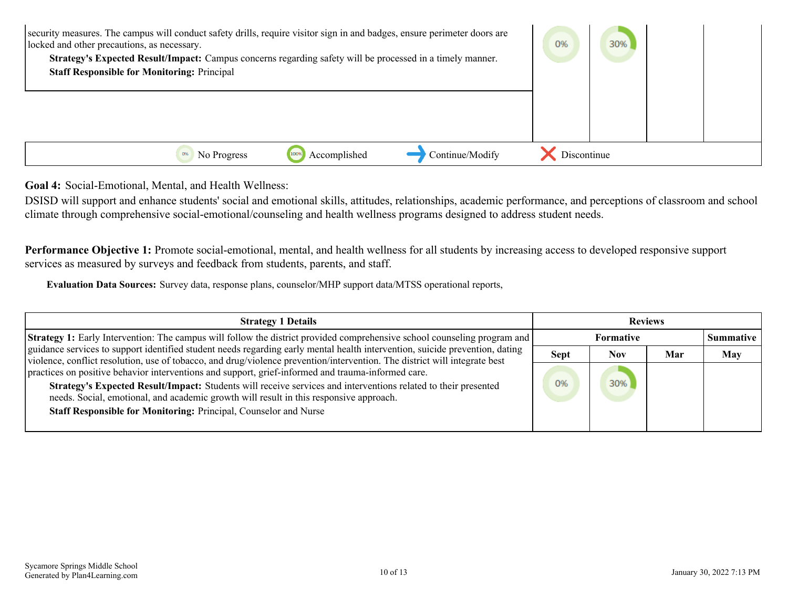<span id="page-9-0"></span>

| security measures. The campus will conduct safety drills, require visitor sign in and badges, ensure perimeter doors are<br>locked and other precautions, as necessary.<br>Strategy's Expected Result/Impact: Campus concerns regarding safety will be processed in a timely manner.<br><b>Staff Responsible for Monitoring: Principal</b> | 0%          | 30% |  |
|--------------------------------------------------------------------------------------------------------------------------------------------------------------------------------------------------------------------------------------------------------------------------------------------------------------------------------------------|-------------|-----|--|
| Accomplished<br>Continue/Modify<br>No Progress                                                                                                                                                                                                                                                                                             | Discontinue |     |  |

**Goal 4:** Social-Emotional, Mental, and Health Wellness:

DSISD will support and enhance students' social and emotional skills, attitudes, relationships, academic performance, and perceptions of classroom and school climate through comprehensive social-emotional/counseling and health wellness programs designed to address student needs.

**Performance Objective 1:** Promote social-emotional, mental, and health wellness for all students by increasing access to developed responsive support services as measured by surveys and feedback from students, parents, and staff.

**Evaluation Data Sources:** Survey data, response plans, counselor/MHP support data/MTSS operational reports,

| <b>Strategy 1 Details</b>                                                                                                                                                                                                                                  |             |           | <b>Reviews</b> |                  |
|------------------------------------------------------------------------------------------------------------------------------------------------------------------------------------------------------------------------------------------------------------|-------------|-----------|----------------|------------------|
| <b>Strategy 1:</b> Early Intervention: The campus will follow the district provided comprehensive school counseling program and                                                                                                                            |             | Formative |                | <b>Summative</b> |
| guidance services to support identified student needs regarding early mental health intervention, suicide prevention, dating<br>violence, conflict resolution, use of tobacco, and drug/violence prevention/intervention. The district will integrate best | <b>Sept</b> | Nov       | Mar            | <b>May</b>       |
| practices on positive behavior interventions and support, grief-informed and trauma-informed care.                                                                                                                                                         |             |           |                |                  |
| Strategy's Expected Result/Impact: Students will receive services and interventions related to their presented<br>needs. Social, emotional, and academic growth will result in this responsive approach.                                                   | 0%          | 30%       |                |                  |
| <b>Staff Responsible for Monitoring: Principal, Counselor and Nurse</b>                                                                                                                                                                                    |             |           |                |                  |
|                                                                                                                                                                                                                                                            |             |           |                |                  |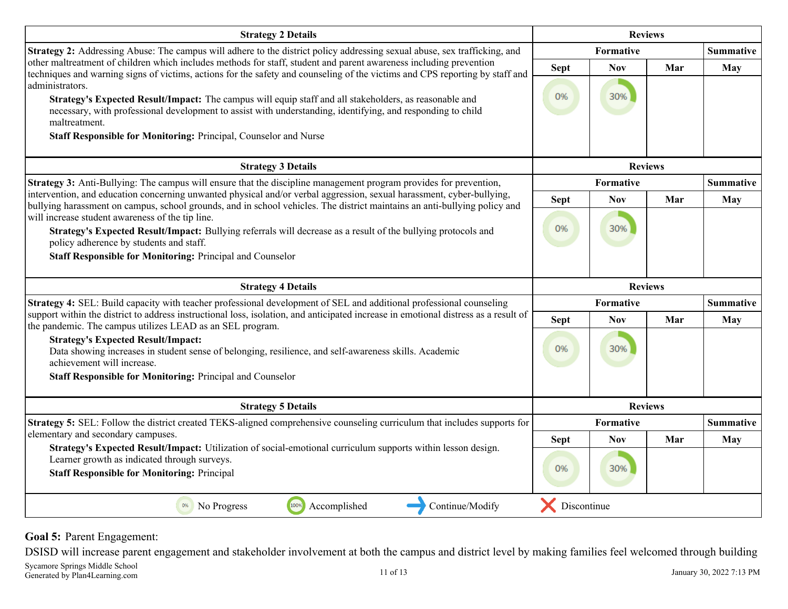<span id="page-10-0"></span>

| <b>Strategy 2 Details</b>                                                                                                                                                                                                                                                                                                                                                                                                                                                                                                                                                           |                   | <b>Reviews</b>   |     |                  |
|-------------------------------------------------------------------------------------------------------------------------------------------------------------------------------------------------------------------------------------------------------------------------------------------------------------------------------------------------------------------------------------------------------------------------------------------------------------------------------------------------------------------------------------------------------------------------------------|-------------------|------------------|-----|------------------|
| Strategy 2: Addressing Abuse: The campus will adhere to the district policy addressing sexual abuse, sex trafficking, and                                                                                                                                                                                                                                                                                                                                                                                                                                                           |                   | Formative        |     | <b>Summative</b> |
| other maltreatment of children which includes methods for staff, student and parent awareness including prevention<br>techniques and warning signs of victims, actions for the safety and counseling of the victims and CPS reporting by staff and<br>administrators.<br>Strategy's Expected Result/Impact: The campus will equip staff and all stakeholders, as reasonable and<br>necessary, with professional development to assist with understanding, identifying, and responding to child<br>maltreatment.<br>Staff Responsible for Monitoring: Principal, Counselor and Nurse | <b>Sept</b><br>0% | Nov<br>30%       | Mar | May              |
| <b>Strategy 3 Details</b>                                                                                                                                                                                                                                                                                                                                                                                                                                                                                                                                                           |                   | <b>Reviews</b>   |     |                  |
| <b>Strategy 3:</b> Anti-Bullying: The campus will ensure that the discipline management program provides for prevention,                                                                                                                                                                                                                                                                                                                                                                                                                                                            |                   | Formative        |     | <b>Summative</b> |
| intervention, and education concerning unwanted physical and/or verbal aggression, sexual harassment, cyber-bullying,<br>bullying harassment on campus, school grounds, and in school vehicles. The district maintains an anti-bullying policy and                                                                                                                                                                                                                                                                                                                                  | <b>Sept</b>       | <b>Nov</b>       | Mar | May              |
| will increase student awareness of the tip line.<br>Strategy's Expected Result/Impact: Bullying referrals will decrease as a result of the bullying protocols and<br>policy adherence by students and staff.<br><b>Staff Responsible for Monitoring: Principal and Counselor</b>                                                                                                                                                                                                                                                                                                    | 0%                | 30%              |     |                  |
| <b>Strategy 4 Details</b>                                                                                                                                                                                                                                                                                                                                                                                                                                                                                                                                                           |                   | <b>Reviews</b>   |     |                  |
| Strategy 4: SEL: Build capacity with teacher professional development of SEL and additional professional counseling                                                                                                                                                                                                                                                                                                                                                                                                                                                                 |                   | Formative        |     | <b>Summative</b> |
|                                                                                                                                                                                                                                                                                                                                                                                                                                                                                                                                                                                     |                   |                  |     |                  |
| support within the district to address instructional loss, isolation, and anticipated increase in emotional distress as a result of                                                                                                                                                                                                                                                                                                                                                                                                                                                 | <b>Sept</b>       | <b>Nov</b>       | Mar | May              |
| the pandemic. The campus utilizes LEAD as an SEL program.<br><b>Strategy's Expected Result/Impact:</b><br>Data showing increases in student sense of belonging, resilience, and self-awareness skills. Academic<br>achievement will increase.<br>Staff Responsible for Monitoring: Principal and Counselor                                                                                                                                                                                                                                                                          | 0%                | 30%              |     |                  |
| <b>Strategy 5 Details</b>                                                                                                                                                                                                                                                                                                                                                                                                                                                                                                                                                           |                   | <b>Reviews</b>   |     |                  |
| <b>Strategy 5:</b> SEL: Follow the district created TEKS-aligned comprehensive counseling curriculum that includes supports for                                                                                                                                                                                                                                                                                                                                                                                                                                                     |                   | <b>Formative</b> |     | <b>Summative</b> |
| elementary and secondary campuses.                                                                                                                                                                                                                                                                                                                                                                                                                                                                                                                                                  | <b>Sept</b>       | <b>Nov</b>       | Mar | May              |
| Strategy's Expected Result/Impact: Utilization of social-emotional curriculum supports within lesson design.<br>Learner growth as indicated through surveys.                                                                                                                                                                                                                                                                                                                                                                                                                        |                   |                  |     |                  |
| <b>Staff Responsible for Monitoring: Principal</b>                                                                                                                                                                                                                                                                                                                                                                                                                                                                                                                                  | 0%                | 30%              |     |                  |

### **Goal 5:** Parent Engagement:

DSISD will increase parent engagement and stakeholder involvement at both the campus and district level by making families feel welcomed through building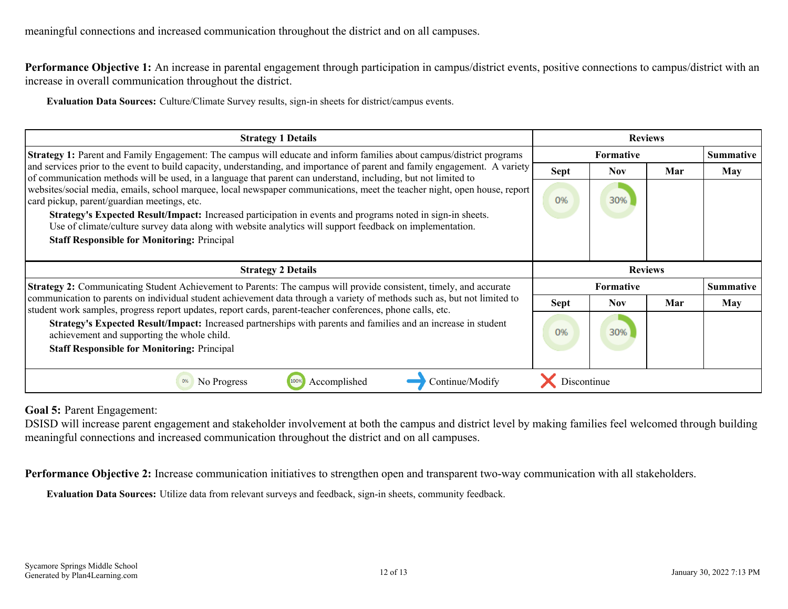Performance Objective 1: An increase in parental engagement through participation in campus/district events, positive connections to campus/district with an increase in overall communication throughout the district.

**Evaluation Data Sources:** Culture/Climate Survey results, sign-in sheets for district/campus events.

| <b>Strategy 1 Details</b>                                                                                                                                                                                                                                                   |                | <b>Reviews</b>   |     |                  |
|-----------------------------------------------------------------------------------------------------------------------------------------------------------------------------------------------------------------------------------------------------------------------------|----------------|------------------|-----|------------------|
| <b>Strategy 1:</b> Parent and Family Engagement: The campus will educate and inform families about campus/district programs                                                                                                                                                 |                | <b>Formative</b> |     | <b>Summative</b> |
| and services prior to the event to build capacity, understanding, and importance of parent and family engagement. A variety<br>of communication methods will be used, in a language that parent can understand, including, but not limited to                               | <b>Sept</b>    | Nov              | Mar | May              |
| websites/social media, emails, school marquee, local newspaper communications, meet the teacher night, open house, report<br>card pickup, parent/guardian meetings, etc.                                                                                                    | 0%             | 30%              |     |                  |
| Strategy's Expected Result/Impact: Increased participation in events and programs noted in sign-in sheets.<br>Use of climate/culture survey data along with website analytics will support feedback on implementation.                                                      |                |                  |     |                  |
| <b>Staff Responsible for Monitoring: Principal</b>                                                                                                                                                                                                                          |                |                  |     |                  |
|                                                                                                                                                                                                                                                                             |                |                  |     |                  |
|                                                                                                                                                                                                                                                                             | <b>Reviews</b> |                  |     |                  |
| <b>Strategy 2 Details</b>                                                                                                                                                                                                                                                   |                |                  |     |                  |
| <b>Strategy 2:</b> Communicating Student Achievement to Parents: The campus will provide consistent, timely, and accurate                                                                                                                                                   |                | <b>Formative</b> |     | <b>Summative</b> |
| communication to parents on individual student achievement data through a variety of methods such as, but not limited to                                                                                                                                                    | <b>Sept</b>    | Nov.             | Mar | <b>May</b>       |
| student work samples, progress report updates, report cards, parent-teacher conferences, phone calls, etc.<br>Strategy's Expected Result/Impact: Increased partnerships with parents and families and an increase in student<br>achievement and supporting the whole child. | 0%             | 30%              |     |                  |
| <b>Staff Responsible for Monitoring: Principal</b>                                                                                                                                                                                                                          |                |                  |     |                  |

**Goal 5:** Parent Engagement:

DSISD will increase parent engagement and stakeholder involvement at both the campus and district level by making families feel welcomed through building meaningful connections and increased communication throughout the district and on all campuses.

**Performance Objective 2:** Increase communication initiatives to strengthen open and transparent two-way communication with all stakeholders.

**Evaluation Data Sources:** Utilize data from relevant surveys and feedback, sign-in sheets, community feedback.